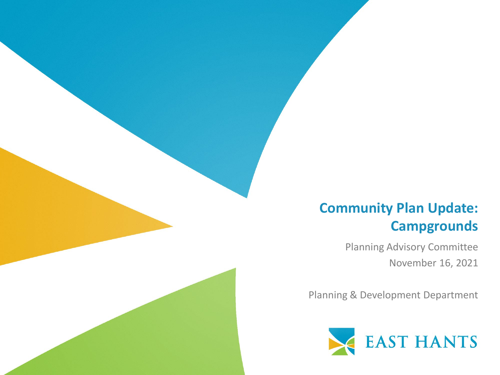#### **Community Plan Update: Campgrounds**

Planning Advisory Committee November 16, 2021

Planning & Development Department

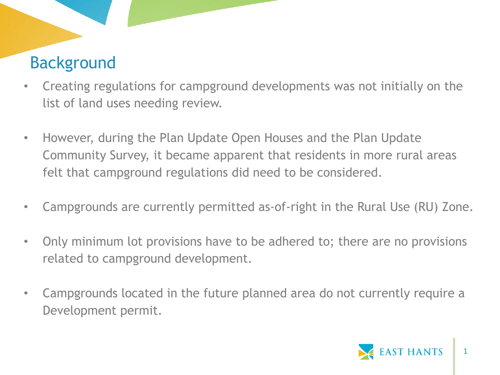# Background

- Creating regulations for campground developments was not initially on the list of land uses needing review.
- However, during the Plan Update Open Houses and the Plan Update Community Survey, it became apparent that residents in more rural areas felt that campground regulations did need to be considered.
- Campgrounds are currently permitted as-of-right in the Rural Use (RU) Zone.
- Only minimum lot provisions have to be adhered to; there are no provisions related to campground development.
- Campgrounds located in the future planned area do not currently require a Development permit.

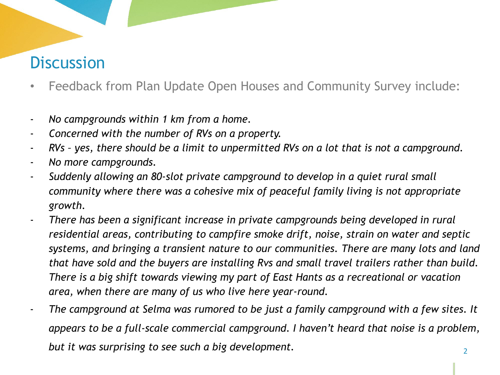## **Discussion**

- Feedback from Plan Update Open Houses and Community Survey include:
- *No campgrounds within 1 km from a home.*
- *Concerned with the number of RVs on a property.*
- *RVs – yes, there should be a limit to unpermitted RVs on a lot that is not a campground.*
- *No more campgrounds.*
- *Suddenly allowing an 80-slot private campground to develop in a quiet rural small community where there was a cohesive mix of peaceful family living is not appropriate growth.*
- *There has been a significant increase in private campgrounds being developed in rural residential areas, contributing to campfire smoke drift, noise, strain on water and septic systems, and bringing a transient nature to our communities. There are many lots and land that have sold and the buyers are installing Rvs and small travel trailers rather than build. There is a big shift towards viewing my part of East Hants as a recreational or vacation area, when there are many of us who live here year-round.*
- The campground at Selma was rumored to be just a family campground with a few sites. It *appears to be a full-scale commercial campground. I haven't heard that noise is a problem, but it was surprising to see such a big development.* <sup>2</sup>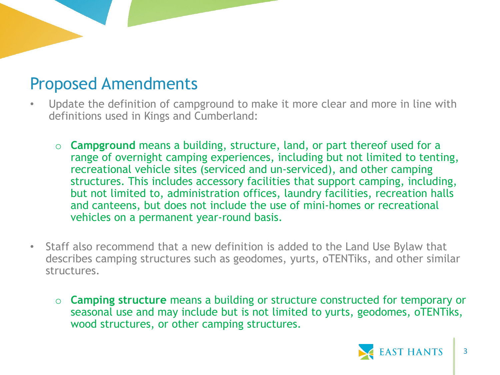#### Proposed Amendments

- Update the definition of campground to make it more clear and more in line with definitions used in Kings and Cumberland:
	- o **Campground** means a building, structure, land, or part thereof used for a range of overnight camping experiences, including but not limited to tenting, recreational vehicle sites (serviced and un-serviced), and other camping structures. This includes accessory facilities that support camping, including, but not limited to, administration offices, laundry facilities, recreation halls and canteens, but does not include the use of mini-homes or recreational vehicles on a permanent year-round basis.
- Staff also recommend that a new definition is added to the Land Use Bylaw that describes camping structures such as geodomes, yurts, oTENTiks, and other similar structures.
	- o **Camping structure** means a building or structure constructed for temporary or seasonal use and may include but is not limited to yurts, geodomes, oTENTiks, wood structures, or other camping structures.

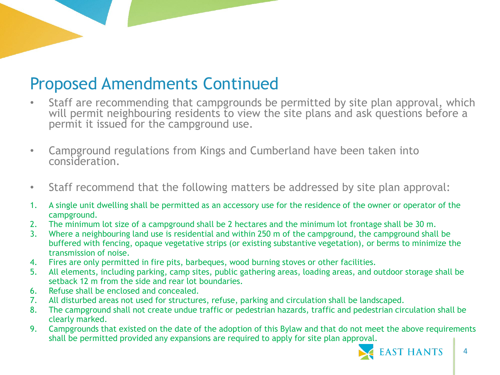### Proposed Amendments Continued

- Staff are recommending that campgrounds be permitted by site plan approval, which will permit neighbouring residents to view the site plans and ask questions before a permit it issued for the campground use.
- Campground regulations from Kings and Cumberland have been taken into consideration.
- Staff recommend that the following matters be addressed by site plan approval:
- 1. A single unit dwelling shall be permitted as an accessory use for the residence of the owner or operator of the campground.
- 2. The minimum lot size of a campground shall be 2 hectares and the minimum lot frontage shall be 30 m.
- 3. Where a neighbouring land use is residential and within 250 m of the campground, the campground shall be buffered with fencing, opaque vegetative strips (or existing substantive vegetation), or berms to minimize the transmission of noise.
- 4. Fires are only permitted in fire pits, barbeques, wood burning stoves or other facilities.
- 5. All elements, including parking, camp sites, public gathering areas, loading areas, and outdoor storage shall be setback 12 m from the side and rear lot boundaries.
- 6. Refuse shall be enclosed and concealed.
- 7. All disturbed areas not used for structures, refuse, parking and circulation shall be landscaped.
- 8. The campground shall not create undue traffic or pedestrian hazards, traffic and pedestrian circulation shall be clearly marked.
- 9. Campgrounds that existed on the date of the adoption of this Bylaw and that do not meet the above requirements shall be permitted provided any expansions are required to apply for site plan approval.